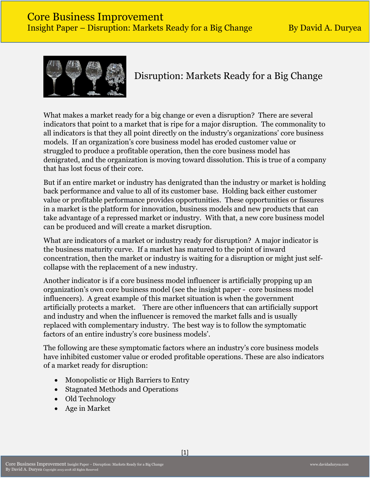

# Disruption: Markets Ready for a Big Change

What makes a market ready for a big change or even a disruption? There are several indicators that point to a market that is ripe for a major disruption. The commonality to all indicators is that they all point directly on the industry's organizations' core business models. If an organization's core business model has eroded customer value or struggled to produce a profitable operation, then the core business model has denigrated, and the organization is moving toward dissolution. This is true of a company that has lost focus of their core.

But if an entire market or industry has denigrated than the industry or market is holding back performance and value to all of its customer base. Holding back either customer value or profitable performance provides opportunities. These opportunities or fissures in a market is the platform for innovation, business models and new products that can take advantage of a repressed market or industry. With that, a new core business model can be produced and will create a market disruption.

What are indicators of a market or industry ready for disruption? A major indicator is the business maturity curve. If a market has matured to the point of inward concentration, then the market or industry is waiting for a disruption or might just selfcollapse with the replacement of a new industry.

Another indicator is if a core business model influencer is artificially propping up an organization's own core business model (see the insight paper - core business model influencers). A great example of this market situation is when the government artificially protects a market. There are other influencers that can artificially support and industry and when the influencer is removed the market falls and is usually replaced with complementary industry. The best way is to follow the symptomatic factors of an entire industry's core business models'.

The following are these symptomatic factors where an industry's core business models have inhibited customer value or eroded profitable operations. These are also indicators of a market ready for disruption:

- Monopolistic or High Barriers to Entry
- Stagnated Methods and Operations
- Old Technology
- Age in Market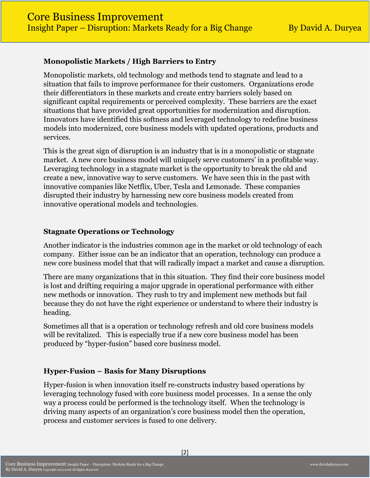### **Monopolistic Markets / High Barriers to Entry**

Monopolistic markets, old technology and methods tend to stagnate and lead to a situation that fails to improve performance for their customers. Organizations erode their differentiators in these markets and create entry barriers solely based on significant capital requirements or perceived complexity. These barriers are the exact situations that have provided great opportunities for modernization and disruption. Innovators have identified this softness and leveraged technology to redefine business models into modernized, core business models with updated operations, products and services.

This is the great sign of disruption is an industry that is in a monopolistic or stagnate market. A new core business model will uniquely serve customers' in a profitable way. Leveraging technology in a stagnate market is the opportunity to break the old and create a new, innovative way to serve customers. We have seen this in the past with innovative companies like Netflix, Uber, Tesla and Lemonade. These companies disrupted their industry by harnessing new core business models created from innovative operational models and technologies.

#### **Stagnate Operations or Technology**

Another indicator is the industries common age in the market or old technology of each company. Either issue can be an indicator that an operation, technology can produce a new core business model that that will radically impact a market and cause a disruption.

There are many organizations that in this situation. They find their core business model is lost and drifting requiring a major upgrade in operational performance with either new methods or innovation. They rush to try and implement new methods but fail because they do not have the right experience or understand to where their industry is heading.

Sometimes all that is a operation or technology refresh and old core business models will be revitalized. This is especially true if a new core business model has been produced by "hyper-fusion" based core business model.

# **Hyper-Fusion – Basis for Many Disruptions**

Hyper-fusion is when innovation itself re-constructs industry based operations by leveraging technology fused with core business model processes. In a sense the only way a process could be performed is the technology itself. When the technology is driving many aspects of an organization's core business model then the operation, process and customer services is fused to one delivery.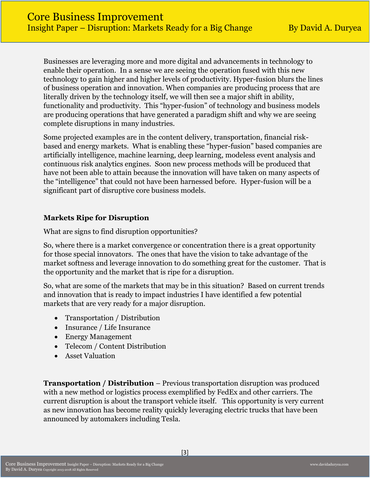Businesses are leveraging more and more digital and advancements in technology to enable their operation. In a sense we are seeing the operation fused with this new technology to gain higher and higher levels of productivity. Hyper-fusion blurs the lines of business operation and innovation. When companies are producing process that are literally driven by the technology itself, we will then see a major shift in ability, functionality and productivity. This "hyper-fusion" of technology and business models are producing operations that have generated a paradigm shift and why we are seeing complete disruptions in many industries.

Some projected examples are in the content delivery, transportation, financial riskbased and energy markets. What is enabling these "hyper-fusion" based companies are artificially intelligence, machine learning, deep learning, modeless event analysis and continuous risk analytics engines. Soon new process methods will be produced that have not been able to attain because the innovation will have taken on many aspects of the "intelligence" that could not have been harnessed before. Hyper-fusion will be a significant part of disruptive core business models.

#### **Markets Ripe for Disruption**

What are signs to find disruption opportunities?

So, where there is a market convergence or concentration there is a great opportunity for those special innovators. The ones that have the vision to take advantage of the market softness and leverage innovation to do something great for the customer. That is the opportunity and the market that is ripe for a disruption.

So, what are some of the markets that may be in this situation? Based on current trends and innovation that is ready to impact industries I have identified a few potential markets that are very ready for a major disruption.

- Transportation / Distribution
- Insurance / Life Insurance
- Energy Management
- Telecom / Content Distribution
- Asset Valuation

**Transportation / Distribution – Previous transportation disruption was produced** with a new method or logistics process exemplified by FedEx and other carriers. The current disruption is about the transport vehicle itself. This opportunity is very current as new innovation has become reality quickly leveraging electric trucks that have been announced by automakers including Tesla.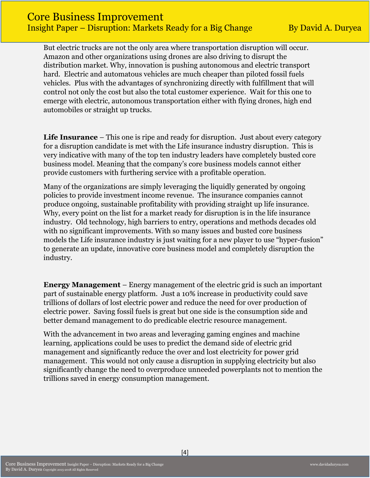# Core Business Improvement Insight Paper – Disruption: Markets Ready for a Big Change By David A. Duryea

But electric trucks are not the only area where transportation disruption will occur. Amazon and other organizations using drones are also driving to disrupt the distribution market. Why, innovation is pushing autonomous and electric transport hard. Electric and automatous vehicles are much cheaper than piloted fossil fuels vehicles. Plus with the advantages of synchronizing directly with fulfillment that will control not only the cost but also the total customer experience. Wait for this one to emerge with electric, autonomous transportation either with flying drones, high end automobiles or straight up trucks.

**Life Insurance** – This one is ripe and ready for disruption. Just about every category for a disruption candidate is met with the Life insurance industry disruption. This is very indicative with many of the top ten industry leaders have completely busted core business model. Meaning that the company's core business models cannot either provide customers with furthering service with a profitable operation.

Many of the organizations are simply leveraging the liquidly generated by ongoing policies to provide investment income revenue. The insurance companies cannot produce ongoing, sustainable profitability with providing straight up life insurance. Why, every point on the list for a market ready for disruption is in the life insurance industry. Old technology, high barriers to entry, operations and methods decades old with no significant improvements. With so many issues and busted core business models the Life insurance industry is just waiting for a new player to use "hyper-fusion" to generate an update, innovative core business model and completely disruption the industry.

**Energy Management** – Energy management of the electric grid is such an important part of sustainable energy platform. Just a 10% increase in productivity could save trillions of dollars of lost electric power and reduce the need for over production of electric power. Saving fossil fuels is great but one side is the consumption side and better demand management to do predicable electric resource management.

With the advancement in two areas and leveraging gaming engines and machine learning, applications could be uses to predict the demand side of electric grid management and significantly reduce the over and lost electricity for power grid management. This would not only cause a disruption in supplying electricity but also significantly change the need to overproduce unneeded powerplants not to mention the trillions saved in energy consumption management.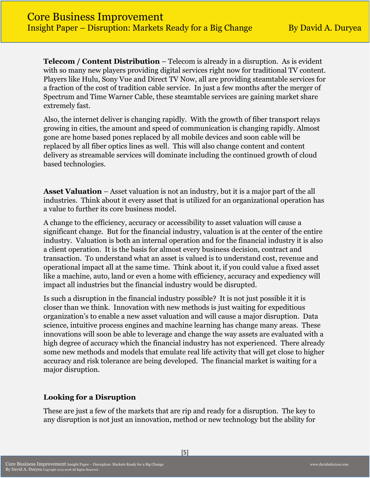**Telecom / Content Distribution** – Telecom is already in a disruption. As is evident with so many new players providing digital services right now for traditional TV content. Players like Hulu, Sony Vue and Direct TV Now, all are providing steamtable services for a fraction of the cost of tradition cable service. In just a few months after the merger of Spectrum and Time Warner Cable, these steamtable services are gaining market share extremely fast.

Also, the internet deliver is changing rapidly. With the growth of fiber transport relays growing in cities, the amount and speed of communication is changing rapidly. Almost gone are home based pones replaced by all mobile devices and soon cable will be replaced by all fiber optics lines as well. This will also change content and content delivery as streamable services will dominate including the continued growth of cloud based technologies.

**Asset Valuation** – Asset valuation is not an industry, but it is a major part of the all industries. Think about it every asset that is utilized for an organizational operation has a value to further its core business model.

A change to the efficiency, accuracy or accessibility to asset valuation will cause a significant change. But for the financial industry, valuation is at the center of the entire industry. Valuation is both an internal operation and for the financial industry it is also a client operation. It is the basis for almost every business decision, contract and transaction. To understand what an asset is valued is to understand cost, revenue and operational impact all at the same time. Think about it, if you could value a fixed asset like a machine, auto, land or even a home with efficiency, accuracy and expediency will impact all industries but the financial industry would be disrupted.

Is such a disruption in the financial industry possible? It is not just possible it it is closer than we think. Innovation with new methods is just waiting for expeditious organization's to enable a new asset valuation and will cause a major disruption. Data science, intuitive process engines and machine learning has change many areas. These innovations will soon be able to leverage and change the way assets are evaluated with a high degree of accuracy which the financial industry has not experienced. There already some new methods and models that emulate real life activity that will get close to higher accuracy and risk tolerance are being developed. The financial market is waiting for a major disruption.

# **Looking for a Disruption**

These are just a few of the markets that are rip and ready for a disruption. The key to any disruption is not just an innovation, method or new technology but the ability for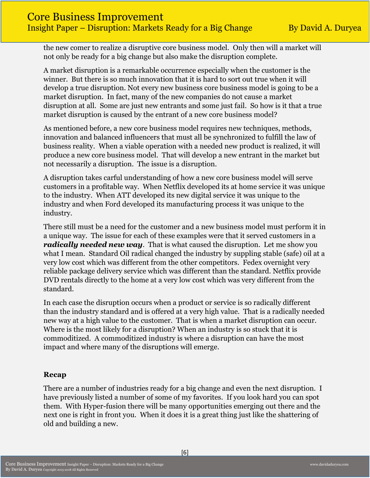the new comer to realize a disruptive core business model. Only then will a market will not only be ready for a big change but also make the disruption complete.

A market disruption is a remarkable occurrence especially when the customer is the winner. But there is so much innovation that it is hard to sort out true when it will develop a true disruption. Not every new business core business model is going to be a market disruption. In fact, many of the new companies do not cause a market disruption at all. Some are just new entrants and some just fail. So how is it that a true market disruption is caused by the entrant of a new core business model?

As mentioned before, a new core business model requires new techniques, methods, innovation and balanced influencers that must all be synchronized to fulfill the law of business reality. When a viable operation with a needed new product is realized, it will produce a new core business model. That will develop a new entrant in the market but not necessarily a disruption. The issue is a disruption.

A disruption takes carful understanding of how a new core business model will serve customers in a profitable way. When Netflix developed its at home service it was unique to the industry. When ATT developed its new digital service it was unique to the industry and when Ford developed its manufacturing process it was unique to the industry.

There still must be a need for the customer and a new business model must perform it in a unique way. The issue for each of these examples were that it served customers in a *radically needed new way*. That is what caused the disruption. Let me show you what I mean. Standard Oil radical changed the industry by suppling stable (safe) oil at a very low cost which was different from the other competitors. Fedex overnight very reliable package delivery service which was different than the standard. Netflix provide DVD rentals directly to the home at a very low cost which was very different from the standard.

In each case the disruption occurs when a product or service is so radically different than the industry standard and is offered at a very high value. That is a radically needed new way at a high value to the customer. That is when a market disruption can occur. Where is the most likely for a disruption? When an industry is so stuck that it is commoditized. A commoditized industry is where a disruption can have the most impact and where many of the disruptions will emerge.

#### **Recap**

There are a number of industries ready for a big change and even the next disruption. I have previously listed a number of some of my favorites. If you look hard you can spot them. With Hyper-fusion there will be many opportunities emerging out there and the next one is right in front you. When it does it is a great thing just like the shattering of old and building a new.